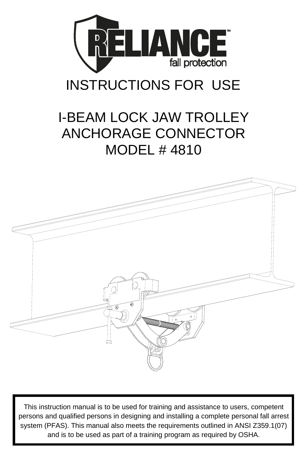

# INSTRUCTIONS FOR USE

## I-BEAM LOCK JAW TROLLEY ANCHORAGE CONNECTOR MODEL # 4810



This instruction manual is to be used for training and assistance to users, competent persons and qualified persons in designing and installing a complete personal fall arrest system (PFAS). This manual also meets the requirements outlined in ANSI Z359.1(07) and is to be used as part of a training program as required by OSHA.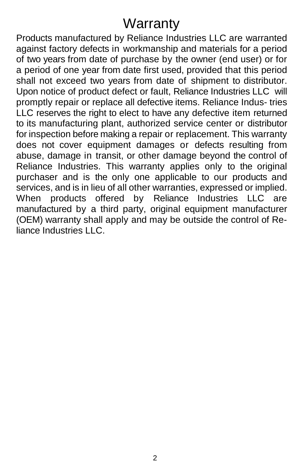## **Warranty**

Products manufactured by Reliance Industries LLC are warranted against factory defects in workmanship and materials for a period of two years from date of purchase by the owner (end user) or for a period of one year from date first used, provided that this period shall not exceed two years from date of shipment to distributor. Upon notice of product defect or fault, Reliance Industries LLC will promptly repair or replace all defective items. Reliance Indus- tries LLC reserves the right to elect to have any defective item returned to its manufacturing plant, authorized service center or distributor for inspection before making a repair or replacement. This warranty does not cover equipment damages or defects resulting from abuse, damage in transit, or other damage beyond the control of Reliance Industries. This warranty applies only to the original purchaser and is the only one applicable to our products and services, and is in lieu of all other warranties, expressed or implied. When products offered by Reliance Industries LLC are manufactured by a third party, original equipment manufacturer (OEM) warranty shall apply and may be outside the control of Reliance Industries LLC.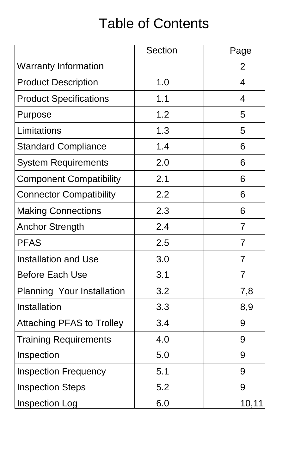# Table of Contents

|                                  | <b>Section</b> | Page           |
|----------------------------------|----------------|----------------|
| <b>Warranty Information</b>      |                | $\overline{2}$ |
| <b>Product Description</b>       | 1.0            | 4              |
| <b>Product Specifications</b>    | 1.1            | 4              |
| Purpose                          | 1.2            | 5              |
| Limitations                      | 1.3            | 5              |
| <b>Standard Compliance</b>       | 1.4            | 6              |
| <b>System Requirements</b>       | 2.0            | 6              |
| <b>Component Compatibility</b>   | 2.1            | 6              |
| <b>Connector Compatibility</b>   | 2.2            | 6              |
| <b>Making Connections</b>        | 2.3            | 6              |
| <b>Anchor Strength</b>           | 2.4            | 7              |
| <b>PFAS</b>                      | 2.5            | $\overline{7}$ |
| <b>Installation and Use</b>      | 3.0            | 7              |
| <b>Before Each Use</b>           | 3.1            | 7              |
| Planning Your Installation       | 3.2            | 7,8            |
| Installation                     | 3.3            | 8,9            |
| <b>Attaching PFAS to Trolley</b> | 3.4            | 9              |
| <b>Training Requirements</b>     | 4.0            | 9              |
| Inspection                       | 5.0            | 9              |
| <b>Inspection Frequency</b>      | 5.1            | 9              |
| <b>Inspection Steps</b>          | 5.2            | 9              |
| Inspection Log                   | 6.0            | 10,11          |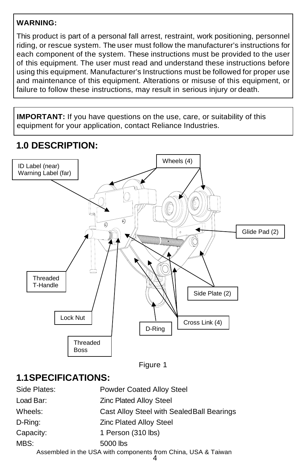#### **WARNING:**

This product is part of a personal fall arrest, restraint, work positioning, personnel riding, or rescue system. The user must follow the manufacturer's instructions for each component of the system. These instructions must be provided to the user of this equipment. The user must read and understand these instructions before using this equipment. Manufacturer's Instructions must be followed for proper use and maintenance of this equipment. Alterations or misuse of this equipment, or failure to follow these instructions, may result in serious injury or death.

**IMPORTANT:** If you have questions on the use, care, or suitability of this equipment for your application, contact Reliance Industries.

## **1.0 DESCRIPTION:**



Figure 1

## **1.1SPECIFICATIONS:**

| Side Plates:                                                  | <b>Powder Coated Alloy Steel</b>           |  |
|---------------------------------------------------------------|--------------------------------------------|--|
| Load Bar:                                                     | <b>Zinc Plated Alloy Steel</b>             |  |
| Wheels:                                                       | Cast Alloy Steel with Sealed Ball Bearings |  |
| D-Ring:                                                       | <b>Zinc Plated Alloy Steel</b>             |  |
| Capacity:                                                     | 1 Person (310 lbs)                         |  |
| MBS:                                                          | 5000 lbs                                   |  |
| Assembled in the USA with components from China, USA & Taiwan |                                            |  |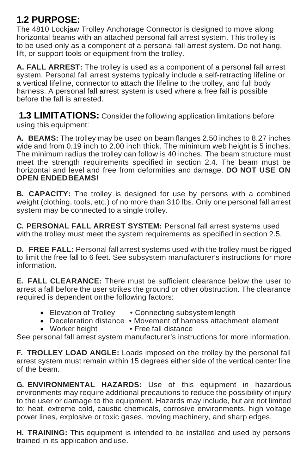### **1.2 PURPOSE:**

The 4810 Lockjaw Trolley Anchorage Connector is designed to move along horizontal beams with an attached personal fall arrest system. This trolley is to be used only as a component of a personal fall arrest system. Do not hang, lift, or support tools or equipment from the trolley.

**A. FALL ARREST:** The trolley is used as a component of a personal fall arrest system. Personal fall arrest systems typically include a self-retracting lifeline or a vertical lifeline, connector to attach the lifeline to the trolley, and full body harness. A personal fall arrest system is used where a free fall is possible before the fall is arrested.

**1.3 LIMITATIONS:** Consider the following application limitations before using this equipment:

**A. BEAMS:** The trolley may be used on beam flanges 2.50 inches to 8.27 inches wide and from 0.19 inch to 2.00 inch thick. The minimum web height is 5 inches. The minimum radius the trolley can follow is 40 inches. The beam structure must meet the strength requirements specified in section 2.4. The beam must be horizontal and level and free from deformities and damage. **DO NOT USE ON OPEN ENDEDBEAMS!**

**B. CAPACITY:** The trolley is designed for use by persons with a combined weight (clothing, tools, etc.) of no more than 310 lbs. Only one personal fall arrest system may be connected to a single trolley.

**C. PERSONAL FALL ARREST SYSTEM:** Personal fall arrest systems used with the trolley must meet the system requirements as specified in section 2.5.

**D. FREE FALL:** Personal fall arrest systems used with the trolley must be rigged to limit the free fall to 6 feet. See subsystem manufacturer's instructions for more information.

**E. FALL CLEARANCE:** There must be sufficient clearance below the user to arrest a fall before the user strikes the ground or other obstruction. The clearance required is dependent onthe following factors:

- Elevation of Trolley Connecting subsystem length
- Deceleration distance Movement of harness attachment element<br>• Worker height Free fall distance
- $\bullet$  Worker height

See personal fall arrest system manufacturer's instructions for more information.

**F. TROLLEY LOAD ANGLE:** Loads imposed on the trolley by the personal fall arrest system must remain within 15 degrees either side of the vertical center line of the beam.

**G. ENVIRONMENTAL HAZARDS:** Use of this equipment in hazardous environments may require additional precautions to reduce the possibility of injury to the user or damage to the equipment. Hazards may include, but are not limited to; heat, extreme cold, caustic chemicals, corrosive environments, high voltage power lines, explosive or toxic gases, moving machinery, and sharp edges.

**H. TRAINING:** This equipment is intended to be installed and used by persons trained in its application and use.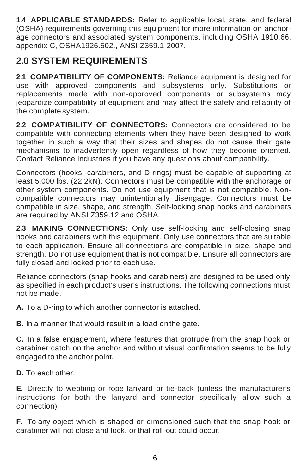**1.4 APPLICABLE STANDARDS:** Refer to applicable local, state, and federal (OSHA) requirements governing this equipment for more information on anchorage connectors and associated system components, including OSHA 1910.66, appendix C, OSHA1926.502., ANSI Z359.1-2007.

### **2.0 SYSTEM REQUIREMENTS**

**2.1 COMPATIBILITY OF COMPONENTS:** Reliance equipment is designed for use with approved components and subsystems only. Substitutions or replacements made with non-approved components or subsystems may jeopardize compatibility of equipment and may affect the safety and reliability of the complete system.

**2.2 COMPATIBILITY OF CONNECTORS:** Connectors are considered to be compatible with connecting elements when they have been designed to work together in such a way that their sizes and shapes do not cause their gate mechanisms to inadvertently open regardless of how they become oriented. Contact Reliance Industries if you have any questions about compatibility.

Connectors (hooks, carabiners, and D-rings) must be capable of supporting at least 5,000 lbs. (22.2kN). Connectors must be compatible with the anchorage or other system components. Do not use equipment that is not compatible. Noncompatible connectors may unintentionally disengage. Connectors must be compatible in size, shape, and strength. Self-locking snap hooks and carabiners are required by ANSI Z359.12 and OSHA.

**2.3 MAKING CONNECTIONS:** Only use self-locking and self-closing snap hooks and carabiners with this equipment. Only use connectors that are suitable to each application. Ensure all connections are compatible in size, shape and strength. Do not use equipment that is not compatible. Ensure all connectors are fully closed and locked prior to each use.

Reliance connectors (snap hooks and carabiners) are designed to be used only as specified in each product's user's instructions. The following connections must not be made.

**A.** To a D-ring to which another connector is attached.

**B.** In a manner that would result in a load onthe gate.

**C.** In a false engagement, where features that protrude from the snap hook or carabiner catch on the anchor and without visual confirmation seems to be fully engaged to the anchor point.

**D.** To each other.

**E.** Directly to webbing or rope lanyard or tie-back (unless the manufacturer's instructions for both the lanyard and connector specifically allow such a connection).

**F.** To any object which is shaped or dimensioned such that the snap hook or carabiner will not close and lock, or that roll-out could occur.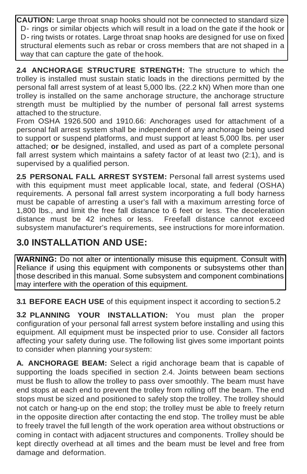**CAUTION:** Large throat snap hooks should not be connected to standard size D- rings or similar objects which will result in a load on the gate if the hook or D- ring twists or rotates. Large throat snap hooks are designed for use on fixed structural elements such as rebar or cross members that are not shaped in a way that can capture the gate of the hook.

**2.4 ANCHORAGE STRUCTURE STRENGTH:** The structure to which the trolley is installed must sustain static loads in the directions permitted by the personal fall arrest system of at least 5,000 lbs. (22.2 kN) When more than one trolley is installed on the same anchorage structure, the anchorage structure strength must be multiplied by the number of personal fall arrest systems attached to the structure.

From OSHA 1926.500 and 1910.66: Anchorages used for attachment of a personal fall arrest system shall be independent of any anchorage being used to support or suspend platforms, and must support at least 5,000 lbs. per user attached; **or** be designed, installed, and used as part of a complete personal fall arrest system which maintains a safety factor of at least two (2:1), and is supervised by a qualified person.

**2.5 PERSONAL FALL ARREST SYSTEM:** Personal fall arrest systems used with this equipment must meet applicable local, state, and federal (OSHA) requirements. A personal fall arrest system incorporating a full body harness must be capable of arresting a user's fall with a maximum arresting force of 1,800 lbs., and limit the free fall distance to 6 feet or less. The deceleration distance must be 42 inches or less. Freefall distance cannot exceed subsystem manufacturer's requirements, see instructions for more information.

## **3.0 INSTALLATION AND USE:**

**WARNING:** Do not alter or intentionally misuse this equipment. Consult with Reliance if using this equipment with components or subsystems other than those described in this manual. Some subsystem and component combinations may interfere with the operation of this equipment.

**3.1 BEFORE EACH USE** of this equipment inspect it according to section5.2

**3.2 PLANNING YOUR INSTALLATION:** You must plan the proper configuration of your personal fall arrest system before installing and using this equipment. All equipment must be inspected prior to use. Consider all factors affecting your safety during use. The following list gives some important points to consider when planning yoursystem:

**A. ANCHORAGE BEAM:** Select a rigid anchorage beam that is capable of supporting the loads specified in section 2.4. Joints between beam sections must be flush to allow the trolley to pass over smoothly. The beam must have end stops at each end to prevent the trolley from rolling off the beam. The end stops must be sized and positioned to safely stop the trolley. The trolley should not catch or hang-up on the end stop; the trolley must be able to freely return in the opposite direction after contacting the end stop. The trolley must be able to freely travel the full length of the work operation area without obstructions or coming in contact with adjacent structures and components. Trolley should be kept directly overhead at all times and the beam must be level and free from damage and deformation.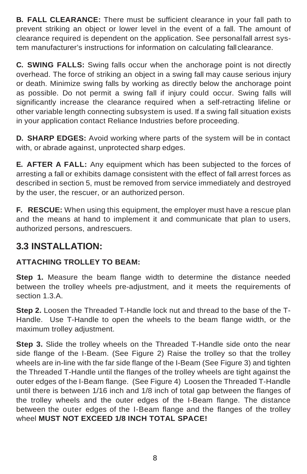**B. FALL CLEARANCE:** There must be sufficient clearance in your fall path to prevent striking an object or lower level in the event of a fall. The amount of clearance required is dependent on the application. See personalfall arrest system manufacturer's instructions for information on calculating fall clearance.

**C. SWING FALLS:** Swing falls occur when the anchorage point is not directly overhead. The force of striking an object in a swing fall may cause serious injury or death. Minimize swing falls by working as directly below the anchorage point as possible. Do not permit a swing fall if injury could occur. Swing falls will significantly increase the clearance required when a self-retracting lifeline or other variable length connecting subsystem is used. If a swing fall situation exists in your application contact Reliance Industries before proceeding.

**D. SHARP EDGES:** Avoid working where parts of the system will be in contact with, or abrade against, unprotected sharp edges.

**E. AFTER A FALL:** Any equipment which has been subjected to the forces of arresting a fall or exhibits damage consistent with the effect of fall arrest forces as described in section 5, must be removed from service immediately and destroyed by the user, the rescuer, or an authorized person.

**F. RESCUE:** When using this equipment, the employer must have a rescue plan and the means at hand to implement it and communicate that plan to users, authorized persons, andrescuers.

#### **3.3 INSTALLATION:**

#### **ATTACHING TROLLEY TO BEAM:**

**Step 1.** Measure the beam flange width to determine the distance needed between the trolley wheels pre-adjustment, and it meets the requirements of section 1.3.A.

**Step 2.** Loosen the Threaded T-Handle lock nut and thread to the base of the T-Handle. Use T-Handle to open the wheels to the beam flange width, or the maximum trolley adjustment.

**Step 3.** Slide the trolley wheels on the Threaded T-Handle side onto the near side flange of the I-Beam. (See Figure 2) Raise the trolley so that the trolley wheels are in-line with the far side flange of the I-Beam (See Figure 3) and tighten the Threaded T-Handle until the flanges of the trolley wheels are tight against the outer edges of the I-Beam flange. (See Figure 4) Loosen the Threaded T-Handle until there is between 1/16 inch and 1/8 inch of total gap between the flanges of the trolley wheels and the outer edges of the I-Beam flange. The distance between the outer edges of the I-Beam flange and the flanges of the trolley wheel **MUST NOT EXCEED 1/8 INCH TOTAL SPACE!**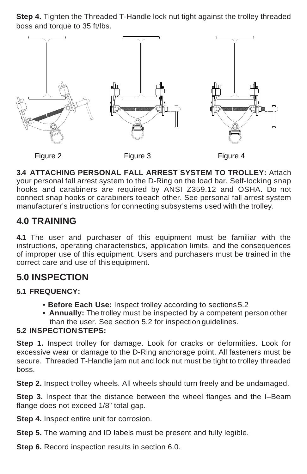**Step 4.** Tighten the Threaded T-Handle lock nut tight against the trolley threaded boss and torque to 35 ft/lbs.



**3.4 ATTACHING PERSONAL FALL ARREST SYSTEM TO TROLLEY:** Attach your personal fall arrest system to the D-Ring on the load bar. Self-locking snap hooks and carabiners are required by ANSI Z359.12 and OSHA. Do not connect snap hooks or carabiners toeach other. See personal fall arrest system manufacturer's instructions for connecting subsystems used with the trolley.

### **4.0 TRAINING**

**4.1** The user and purchaser of this equipment must be familiar with the instructions, operating characteristics, application limits, and the consequences of improper use of this equipment. Users and purchasers must be trained in the correct care and use of thisequipment.

### **5.0 INSPECTION**

#### **5.1 FREQUENCY:**

- **• Before Each Use:** Inspect trolley according to sections 5.2
- **• Annually:** The trolley must be inspected by a competent person other than the user. See section 5.2 for inspection guidelines.

#### **5.2 INSPECTIONSTEPS:**

**Step 1.** Inspect trolley for damage. Look for cracks or deformities. Look for excessive wear or damage to the D-Ring anchorage point. All fasteners must be secure. Threaded T-Handle jam nut and lock nut must be tight to trolley threaded boss.

**Step 2.** Inspect trolley wheels. All wheels should turn freely and be undamaged.

**Step 3.** Inspect that the distance between the wheel flanges and the I–Beam flange does not exceed 1/8" total gap.

**Step 4.** Inspect entire unit for corrosion.

**Step 5.** The warning and ID labels must be present and fully legible.

**Step 6.** Record inspection results in section 6.0.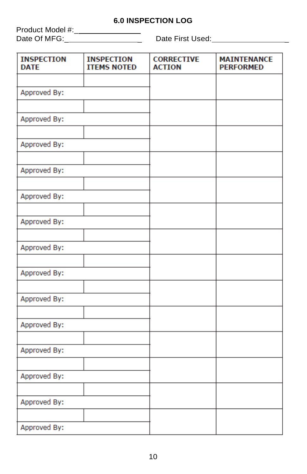#### **6.0 INSPECTION LOG**

Product Model #:\_ Date Of MFG:\_\_\_\_\_\_\_\_\_\_\_\_\_\_\_\_\_\_\_\_\_\_\_ Date First Used:\_\_\_\_\_\_\_\_\_\_\_\_\_\_\_\_\_\_\_\_\_

| <b>INSPECTION</b><br><b>DATE</b> | <b>INSPECTION</b><br><b>ITEMS NOTED</b> | <b>CORRECTIVE</b><br><b>ACTION</b> | <b>MAINTENANCE</b><br><b>PERFORMED</b> |
|----------------------------------|-----------------------------------------|------------------------------------|----------------------------------------|
|                                  |                                         |                                    |                                        |
| Approved By:                     |                                         |                                    |                                        |
|                                  |                                         |                                    |                                        |
| Approved By:                     |                                         |                                    |                                        |
|                                  |                                         |                                    |                                        |
| Approved By:                     |                                         |                                    |                                        |
| Approved By:                     |                                         |                                    |                                        |
|                                  |                                         |                                    |                                        |
| Approved By:                     |                                         |                                    |                                        |
|                                  |                                         |                                    |                                        |
| Approved By:                     |                                         |                                    |                                        |
|                                  |                                         |                                    |                                        |
| Approved By:                     |                                         |                                    |                                        |
|                                  |                                         |                                    |                                        |
| Approved By:                     |                                         |                                    |                                        |
|                                  |                                         |                                    |                                        |
| Approved By:                     |                                         |                                    |                                        |
|                                  |                                         |                                    |                                        |
| Approved By:                     |                                         |                                    |                                        |
| Approved By:                     |                                         |                                    |                                        |
|                                  |                                         |                                    |                                        |
| Approved By:                     |                                         |                                    |                                        |
|                                  |                                         |                                    |                                        |
| Approved By:                     |                                         |                                    |                                        |
|                                  |                                         |                                    |                                        |
| Approved By:                     |                                         |                                    |                                        |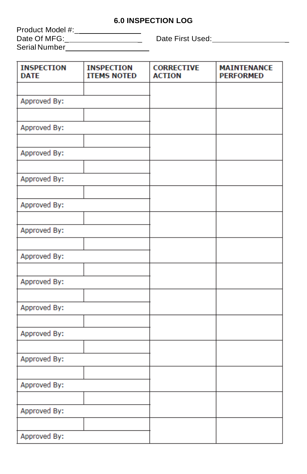#### **6.0 INSPECTION LOG**

| Product Model #: |  |
|------------------|--|
| Date Of MFG:     |  |
| Serial Number    |  |

\_ Date First Used: \_

| <b>INSPECTION</b><br><b>DATE</b> | <b>INSPECTION</b><br><b>ITEMS NOTED</b> | <b>CORRECTIVE</b><br><b>ACTION</b> | <b>MAINTENANCE</b><br><b>PERFORMED</b> |
|----------------------------------|-----------------------------------------|------------------------------------|----------------------------------------|
|                                  |                                         |                                    |                                        |
| Approved By:                     |                                         |                                    |                                        |
|                                  |                                         |                                    |                                        |
| Approved By:                     |                                         |                                    |                                        |
|                                  |                                         |                                    |                                        |
| Approved By:                     |                                         |                                    |                                        |
|                                  |                                         |                                    |                                        |
| Approved By:                     |                                         |                                    |                                        |
| Approved By:                     |                                         |                                    |                                        |
|                                  |                                         |                                    |                                        |
| Approved By:                     |                                         |                                    |                                        |
|                                  |                                         |                                    |                                        |
| Approved By:                     |                                         |                                    |                                        |
|                                  |                                         |                                    |                                        |
| Approved By:                     |                                         |                                    |                                        |
|                                  |                                         |                                    |                                        |
| Approved By:                     |                                         |                                    |                                        |
|                                  |                                         |                                    |                                        |
| Approved By:                     |                                         |                                    |                                        |
|                                  |                                         |                                    |                                        |
| Approved By:                     |                                         |                                    |                                        |
|                                  |                                         |                                    |                                        |
| Approved By:                     |                                         |                                    |                                        |
|                                  |                                         |                                    |                                        |
| Approved By:                     |                                         |                                    |                                        |
| Approved By:                     |                                         |                                    |                                        |